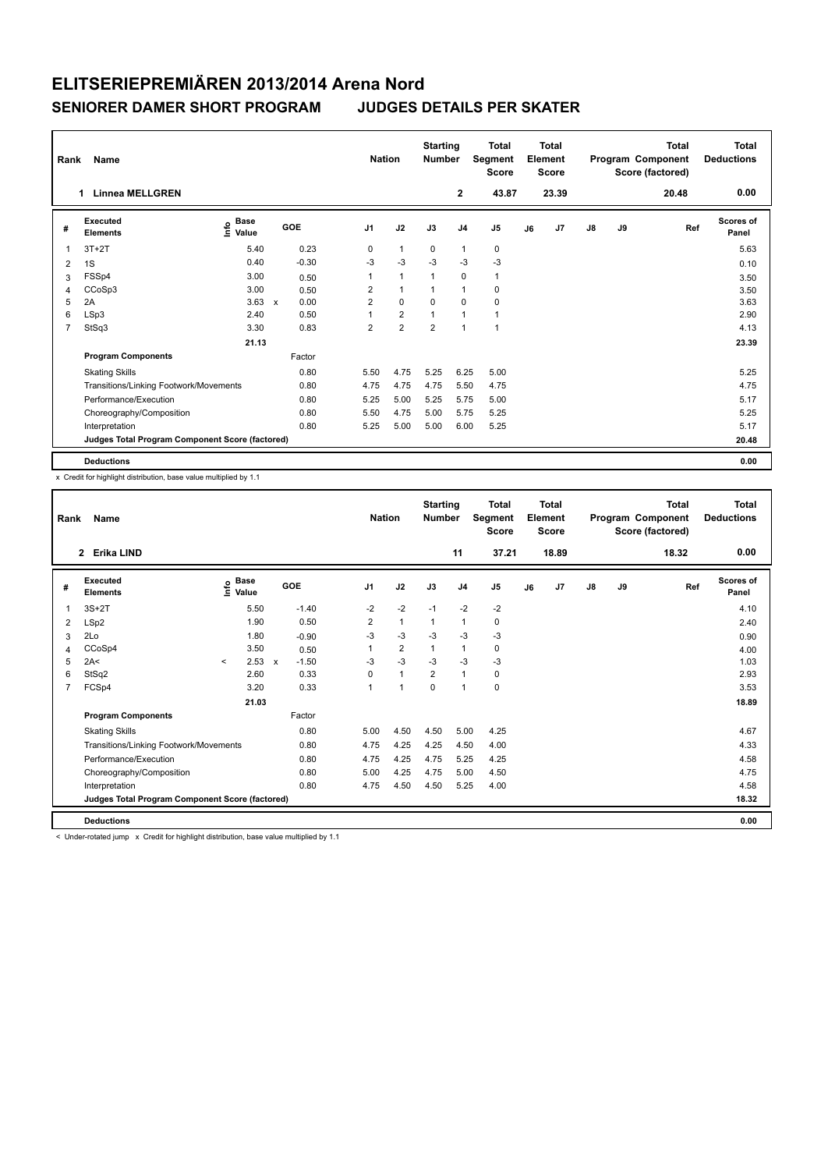| Rank           | Name                                            |                                    |                      | <b>Nation</b>  |                | <b>Starting</b><br><b>Number</b> |                | <b>Total</b><br>Segment<br><b>Score</b> |    | <b>Total</b><br>Element<br>Score |               |    | <b>Total</b><br>Program Component<br>Score (factored) | <b>Total</b><br><b>Deductions</b> |
|----------------|-------------------------------------------------|------------------------------------|----------------------|----------------|----------------|----------------------------------|----------------|-----------------------------------------|----|----------------------------------|---------------|----|-------------------------------------------------------|-----------------------------------|
|                | <b>Linnea MELLGREN</b><br>1.                    |                                    |                      |                |                |                                  | $\overline{2}$ | 43.87                                   |    | 23.39                            |               |    | 20.48                                                 | 0.00                              |
| #              | Executed<br><b>Elements</b>                     | <b>Base</b><br>$\frac{6}{5}$ Value | GOE                  | J <sub>1</sub> | J2             | J3                               | J <sub>4</sub> | J <sub>5</sub>                          | J6 | J7                               | $\mathsf{J}8$ | J9 | Ref                                                   | <b>Scores of</b><br>Panel         |
| 1              | $3T+2T$                                         | 5.40                               | 0.23                 | 0              | $\mathbf{1}$   | 0                                | $\mathbf{1}$   | 0                                       |    |                                  |               |    |                                                       | 5.63                              |
| $\overline{2}$ | 1S                                              | 0.40                               | $-0.30$              | $-3$           | $-3$           | $-3$                             | $-3$           | $-3$                                    |    |                                  |               |    |                                                       | 0.10                              |
| 3              | FSSp4                                           | 3.00                               | 0.50                 | 1              | $\mathbf{1}$   | 1                                | 0              | $\mathbf{1}$                            |    |                                  |               |    |                                                       | 3.50                              |
| 4              | CCoSp3                                          | 3.00                               | 0.50                 | 2              | $\mathbf{1}$   |                                  | $\mathbf{1}$   | 0                                       |    |                                  |               |    |                                                       | 3.50                              |
| 5              | 2A                                              | 3.63                               | 0.00<br>$\mathsf{x}$ | $\overline{2}$ | $\mathbf 0$    | $\Omega$                         | $\mathbf 0$    | 0                                       |    |                                  |               |    |                                                       | 3.63                              |
| 6              | LSp3                                            | 2.40                               | 0.50                 |                | $\overline{2}$ |                                  | $\mathbf{1}$   | 1                                       |    |                                  |               |    |                                                       | 2.90                              |
| 7              | StSq3                                           | 3.30                               | 0.83                 | $\overline{2}$ | $\overline{2}$ | $\overline{2}$                   | $\overline{1}$ | 1                                       |    |                                  |               |    |                                                       | 4.13                              |
|                |                                                 | 21.13                              |                      |                |                |                                  |                |                                         |    |                                  |               |    |                                                       | 23.39                             |
|                | <b>Program Components</b>                       |                                    | Factor               |                |                |                                  |                |                                         |    |                                  |               |    |                                                       |                                   |
|                | <b>Skating Skills</b>                           |                                    | 0.80                 | 5.50           | 4.75           | 5.25                             | 6.25           | 5.00                                    |    |                                  |               |    |                                                       | 5.25                              |
|                | Transitions/Linking Footwork/Movements          |                                    | 0.80                 | 4.75           | 4.75           | 4.75                             | 5.50           | 4.75                                    |    |                                  |               |    |                                                       | 4.75                              |
|                | Performance/Execution                           |                                    | 0.80                 | 5.25           | 5.00           | 5.25                             | 5.75           | 5.00                                    |    |                                  |               |    |                                                       | 5.17                              |
|                | Choreography/Composition                        |                                    | 0.80                 | 5.50           | 4.75           | 5.00                             | 5.75           | 5.25                                    |    |                                  |               |    |                                                       | 5.25                              |
|                | Interpretation                                  |                                    | 0.80                 | 5.25           | 5.00           | 5.00                             | 6.00           | 5.25                                    |    |                                  |               |    |                                                       | 5.17                              |
|                | Judges Total Program Component Score (factored) |                                    |                      |                |                |                                  |                |                                         |    |                                  |               |    |                                                       | 20.48                             |
|                | <b>Deductions</b>                               |                                    |                      |                |                |                                  |                |                                         |    |                                  |               |    |                                                       | 0.00                              |

x Credit for highlight distribution, base value multiplied by 1.1

| Rank | Name                                            |              |                                           |              |         |                | <b>Nation</b>        | <b>Starting</b><br><b>Number</b> |                | <b>Total</b><br>Segment<br><b>Score</b> |    | Total<br>Element<br><b>Score</b> |               |    | <b>Total</b><br>Program Component<br>Score (factored) | <b>Total</b><br><b>Deductions</b> |
|------|-------------------------------------------------|--------------|-------------------------------------------|--------------|---------|----------------|----------------------|----------------------------------|----------------|-----------------------------------------|----|----------------------------------|---------------|----|-------------------------------------------------------|-----------------------------------|
|      | Erika LIND<br>$\overline{2}$                    |              |                                           |              |         |                |                      |                                  | 11             | 37.21                                   |    | 18.89                            |               |    | 18.32                                                 | 0.00                              |
| #    | Executed<br><b>Elements</b>                     |              | $\frac{e}{E}$ Base<br>$\frac{e}{E}$ Value |              | GOE     | J <sub>1</sub> | J2                   | J3                               | J <sub>4</sub> | J5                                      | J6 | J <sub>7</sub>                   | $\mathsf{J}8$ | J9 | Ref                                                   | Scores of<br>Panel                |
| 1    | $3S+2T$                                         |              | 5.50                                      |              | $-1.40$ | $-2$           | $-2$                 | $-1$                             | $-2$           | $-2$                                    |    |                                  |               |    |                                                       | 4.10                              |
| 2    | LSp2                                            |              | 1.90                                      |              | 0.50    | $\overline{2}$ | $\mathbf{1}$         | 1                                | $\mathbf{1}$   | 0                                       |    |                                  |               |    |                                                       | 2.40                              |
| 3    | 2Lo                                             |              | 1.80                                      |              | $-0.90$ | $-3$           | $-3$                 | $-3$                             | $-3$           | $-3$                                    |    |                                  |               |    |                                                       | 0.90                              |
| 4    | CCoSp4                                          |              | 3.50                                      |              | 0.50    |                | $\overline{2}$       | 1                                | $\mathbf{1}$   | 0                                       |    |                                  |               |    |                                                       | 4.00                              |
| 5    | 2A<                                             | $\checkmark$ | 2.53                                      | $\mathsf{x}$ | $-1.50$ | $-3$           | $-3$                 | $-3$                             | $-3$           | $-3$                                    |    |                                  |               |    |                                                       | 1.03                              |
| 6    | StSq2                                           |              | 2.60                                      |              | 0.33    | 0              | $\mathbf{1}$         | $\overline{2}$                   | $\mathbf{1}$   | 0                                       |    |                                  |               |    |                                                       | 2.93                              |
| 7    | FCSp4                                           |              | 3.20                                      |              | 0.33    | $\overline{1}$ | $\blacktriangleleft$ | $\Omega$                         | $\mathbf{1}$   | 0                                       |    |                                  |               |    |                                                       | 3.53                              |
|      |                                                 |              | 21.03                                     |              |         |                |                      |                                  |                |                                         |    |                                  |               |    |                                                       | 18.89                             |
|      | <b>Program Components</b>                       |              |                                           |              | Factor  |                |                      |                                  |                |                                         |    |                                  |               |    |                                                       |                                   |
|      | <b>Skating Skills</b>                           |              |                                           |              | 0.80    | 5.00           | 4.50                 | 4.50                             | 5.00           | 4.25                                    |    |                                  |               |    |                                                       | 4.67                              |
|      | Transitions/Linking Footwork/Movements          |              |                                           |              | 0.80    | 4.75           | 4.25                 | 4.25                             | 4.50           | 4.00                                    |    |                                  |               |    |                                                       | 4.33                              |
|      | Performance/Execution                           |              |                                           |              | 0.80    | 4.75           | 4.25                 | 4.75                             | 5.25           | 4.25                                    |    |                                  |               |    |                                                       | 4.58                              |
|      | Choreography/Composition                        |              |                                           |              | 0.80    | 5.00           | 4.25                 | 4.75                             | 5.00           | 4.50                                    |    |                                  |               |    |                                                       | 4.75                              |
|      | Interpretation                                  |              |                                           |              | 0.80    | 4.75           | 4.50                 | 4.50                             | 5.25           | 4.00                                    |    |                                  |               |    |                                                       | 4.58                              |
|      | Judges Total Program Component Score (factored) |              |                                           |              |         |                |                      |                                  |                |                                         |    |                                  |               |    |                                                       | 18.32                             |
|      | <b>Deductions</b>                               |              |                                           |              |         |                |                      |                                  |                |                                         |    |                                  |               |    |                                                       | 0.00                              |

< Under-rotated jump x Credit for highlight distribution, base value multiplied by 1.1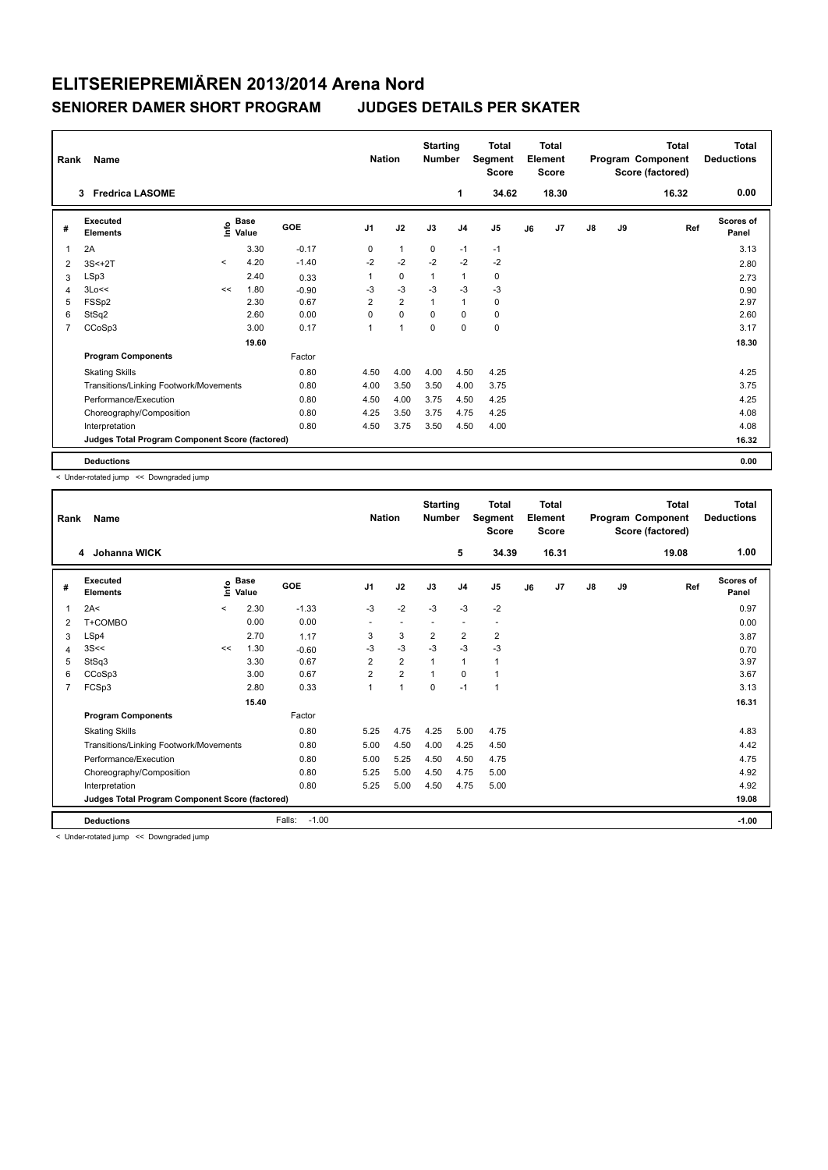| Rank           | Name                                            |         |                                    |         | <b>Nation</b>  |                | <b>Starting</b><br><b>Number</b> |                | <b>Total</b><br>Segment<br><b>Score</b> |    | <b>Total</b><br>Element<br><b>Score</b> |               |    | <b>Total</b><br>Program Component<br>Score (factored) | <b>Total</b><br><b>Deductions</b> |
|----------------|-------------------------------------------------|---------|------------------------------------|---------|----------------|----------------|----------------------------------|----------------|-----------------------------------------|----|-----------------------------------------|---------------|----|-------------------------------------------------------|-----------------------------------|
|                | <b>Fredrica LASOME</b><br>3                     |         |                                    |         |                |                |                                  | 1              | 34.62                                   |    | 18.30                                   |               |    | 16.32                                                 | 0.00                              |
| #              | Executed<br><b>Elements</b>                     |         | <b>Base</b><br>$\frac{6}{5}$ Value | GOE     | J <sub>1</sub> | J2             | J3                               | J <sub>4</sub> | J5                                      | J6 | J7                                      | $\mathsf{J}8$ | J9 | Ref                                                   | <b>Scores of</b><br>Panel         |
| 1              | 2A                                              |         | 3.30                               | $-0.17$ | 0              | $\mathbf{1}$   | 0                                | $-1$           | $-1$                                    |    |                                         |               |    |                                                       | 3.13                              |
| $\overline{2}$ | $3S<+2T$                                        | $\prec$ | 4.20                               | $-1.40$ | $-2$           | $-2$           | $-2$                             | $-2$           | $-2$                                    |    |                                         |               |    |                                                       | 2.80                              |
| 3              | LSp3                                            |         | 2.40                               | 0.33    | 1              | 0              | $\mathbf{1}$                     | $\mathbf{1}$   | 0                                       |    |                                         |               |    |                                                       | 2.73                              |
| 4              | 3Lo<<                                           | <<      | 1.80                               | $-0.90$ | -3             | $-3$           | $-3$                             | -3             | $-3$                                    |    |                                         |               |    |                                                       | 0.90                              |
| 5              | FSSp2                                           |         | 2.30                               | 0.67    | $\overline{2}$ | $\overline{2}$ |                                  | $\mathbf{1}$   | 0                                       |    |                                         |               |    |                                                       | 2.97                              |
| 6              | StSq2                                           |         | 2.60                               | 0.00    | $\Omega$       | $\mathbf 0$    | $\Omega$                         | $\Omega$       | $\mathbf 0$                             |    |                                         |               |    |                                                       | 2.60                              |
| $\overline{7}$ | CCoSp3                                          |         | 3.00                               | 0.17    | $\overline{1}$ | $\overline{1}$ | $\mathbf 0$                      | $\mathbf 0$    | $\mathbf 0$                             |    |                                         |               |    |                                                       | 3.17                              |
|                |                                                 |         | 19.60                              |         |                |                |                                  |                |                                         |    |                                         |               |    |                                                       | 18.30                             |
|                | <b>Program Components</b>                       |         |                                    | Factor  |                |                |                                  |                |                                         |    |                                         |               |    |                                                       |                                   |
|                | <b>Skating Skills</b>                           |         |                                    | 0.80    | 4.50           | 4.00           | 4.00                             | 4.50           | 4.25                                    |    |                                         |               |    |                                                       | 4.25                              |
|                | Transitions/Linking Footwork/Movements          |         |                                    | 0.80    | 4.00           | 3.50           | 3.50                             | 4.00           | 3.75                                    |    |                                         |               |    |                                                       | 3.75                              |
|                | Performance/Execution                           |         |                                    | 0.80    | 4.50           | 4.00           | 3.75                             | 4.50           | 4.25                                    |    |                                         |               |    |                                                       | 4.25                              |
|                | Choreography/Composition                        |         |                                    | 0.80    | 4.25           | 3.50           | 3.75                             | 4.75           | 4.25                                    |    |                                         |               |    |                                                       | 4.08                              |
|                | Interpretation                                  |         |                                    | 0.80    | 4.50           | 3.75           | 3.50                             | 4.50           | 4.00                                    |    |                                         |               |    |                                                       | 4.08                              |
|                | Judges Total Program Component Score (factored) |         |                                    |         |                |                |                                  |                |                                         |    |                                         |               |    |                                                       | 16.32                             |
|                | <b>Deductions</b>                               |         |                                    |         |                |                |                                  |                |                                         |    |                                         |               |    |                                                       | 0.00                              |

< Under-rotated jump << Downgraded jump

| Rank | Name                                            |         |                                           |                   | <b>Nation</b>            |                | <b>Starting</b><br><b>Number</b> |                          | <b>Total</b><br>Segment<br><b>Score</b> |    | <b>Total</b><br>Element<br><b>Score</b> |               |    | <b>Total</b><br>Program Component<br>Score (factored) | <b>Total</b><br><b>Deductions</b> |
|------|-------------------------------------------------|---------|-------------------------------------------|-------------------|--------------------------|----------------|----------------------------------|--------------------------|-----------------------------------------|----|-----------------------------------------|---------------|----|-------------------------------------------------------|-----------------------------------|
|      | Johanna WICK<br>4                               |         |                                           |                   |                          |                |                                  | 5                        | 34.39                                   |    | 16.31                                   |               |    | 19.08                                                 | 1.00                              |
| #    | Executed<br><b>Elements</b>                     |         | $\frac{e}{E}$ Base<br>$\frac{E}{E}$ Value | <b>GOE</b>        | J <sub>1</sub>           | J2             | J3                               | J <sub>4</sub>           | J <sub>5</sub>                          | J6 | J7                                      | $\mathsf{J}8$ | J9 | Ref                                                   | <b>Scores of</b><br>Panel         |
| 1    | 2A<                                             | $\prec$ | 2.30                                      | $-1.33$           | $-3$                     | $-2$           | $-3$                             | $-3$                     | $-2$                                    |    |                                         |               |    |                                                       | 0.97                              |
| 2    | T+COMBO                                         |         | 0.00                                      | 0.00              | $\overline{\phantom{a}}$ | $\sim$         | $\sim$                           | $\overline{\phantom{a}}$ | $\overline{\phantom{a}}$                |    |                                         |               |    |                                                       | 0.00                              |
| 3    | LSp4                                            |         | 2.70                                      | 1.17              | 3                        | 3              | 2                                | $\overline{2}$           | 2                                       |    |                                         |               |    |                                                       | 3.87                              |
| 4    | 3S <                                            | <<      | 1.30                                      | $-0.60$           | $-3$                     | $-3$           | $-3$                             | $-3$                     | $-3$                                    |    |                                         |               |    |                                                       | 0.70                              |
| 5    | StSq3                                           |         | 3.30                                      | 0.67              | $\overline{2}$           | $\overline{2}$ | 1                                | $\mathbf{1}$             | 1                                       |    |                                         |               |    |                                                       | 3.97                              |
| 6    | CCoSp3                                          |         | 3.00                                      | 0.67              | $\overline{2}$           | $\overline{2}$ |                                  | $\Omega$                 | 1                                       |    |                                         |               |    |                                                       | 3.67                              |
| 7    | FCSp3                                           |         | 2.80                                      | 0.33              | 1                        | $\overline{1}$ | $\mathbf 0$                      | $-1$                     | 1                                       |    |                                         |               |    |                                                       | 3.13                              |
|      |                                                 |         | 15.40                                     |                   |                          |                |                                  |                          |                                         |    |                                         |               |    |                                                       | 16.31                             |
|      | <b>Program Components</b>                       |         |                                           | Factor            |                          |                |                                  |                          |                                         |    |                                         |               |    |                                                       |                                   |
|      | <b>Skating Skills</b>                           |         |                                           | 0.80              | 5.25                     | 4.75           | 4.25                             | 5.00                     | 4.75                                    |    |                                         |               |    |                                                       | 4.83                              |
|      | Transitions/Linking Footwork/Movements          |         |                                           | 0.80              | 5.00                     | 4.50           | 4.00                             | 4.25                     | 4.50                                    |    |                                         |               |    |                                                       | 4.42                              |
|      | Performance/Execution                           |         |                                           | 0.80              | 5.00                     | 5.25           | 4.50                             | 4.50                     | 4.75                                    |    |                                         |               |    |                                                       | 4.75                              |
|      | Choreography/Composition                        |         |                                           | 0.80              | 5.25                     | 5.00           | 4.50                             | 4.75                     | 5.00                                    |    |                                         |               |    |                                                       | 4.92                              |
|      | Interpretation                                  |         |                                           | 0.80              | 5.25                     | 5.00           | 4.50                             | 4.75                     | 5.00                                    |    |                                         |               |    |                                                       | 4.92                              |
|      | Judges Total Program Component Score (factored) |         |                                           |                   |                          |                |                                  |                          |                                         |    |                                         |               |    |                                                       | 19.08                             |
|      | <b>Deductions</b>                               |         |                                           | Falls:<br>$-1.00$ |                          |                |                                  |                          |                                         |    |                                         |               |    |                                                       | $-1.00$                           |

< Under-rotated jump << Downgraded jump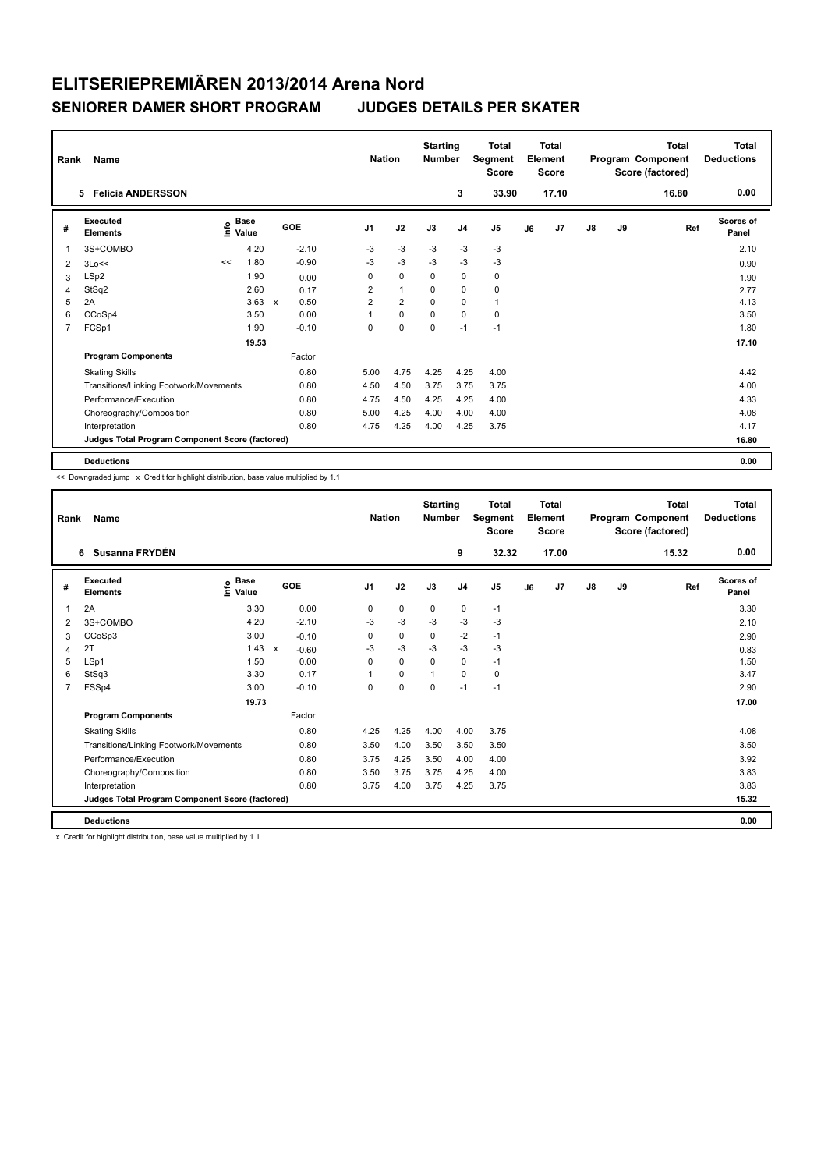| Rank           | Name                                            |                                  |      |                      | <b>Nation</b>  |                | <b>Starting</b><br><b>Number</b> |                | <b>Total</b><br><b>Segment</b><br><b>Score</b> |    | <b>Total</b><br>Element<br><b>Score</b> |               |    | <b>Total</b><br>Program Component<br>Score (factored) | Total<br><b>Deductions</b> |
|----------------|-------------------------------------------------|----------------------------------|------|----------------------|----------------|----------------|----------------------------------|----------------|------------------------------------------------|----|-----------------------------------------|---------------|----|-------------------------------------------------------|----------------------------|
|                | <b>Felicia ANDERSSON</b><br>5                   |                                  |      |                      |                |                |                                  | 3              | 33.90                                          |    | 17.10                                   |               |    | 16.80                                                 | 0.00                       |
| #              | Executed<br><b>Elements</b>                     | <b>Base</b><br>e Base<br>⊆ Value |      | <b>GOE</b>           | J <sub>1</sub> | J2             | J3                               | J <sub>4</sub> | J <sub>5</sub>                                 | J6 | J7                                      | $\mathsf{J}8$ | J9 | Ref                                                   | <b>Scores of</b><br>Panel  |
| 1              | 3S+COMBO                                        | 4.20                             |      | $-2.10$              | $-3$           | -3             | $-3$                             | $-3$           | $-3$                                           |    |                                         |               |    |                                                       | 2.10                       |
| 2              | 3Lo<<                                           | 1.80<br><<                       |      | $-0.90$              | -3             | $-3$           | $-3$                             | $-3$           | $-3$                                           |    |                                         |               |    |                                                       | 0.90                       |
| 3              | LSp2                                            | 1.90                             |      | 0.00                 | 0              | $\pmb{0}$      | 0                                | 0              | 0                                              |    |                                         |               |    |                                                       | 1.90                       |
| 4              | StSq2                                           | 2.60                             |      | 0.17                 | $\overline{2}$ | $\mathbf{1}$   | $\Omega$                         | $\mathbf 0$    | 0                                              |    |                                         |               |    |                                                       | 2.77                       |
| 5              | 2A                                              |                                  | 3.63 | 0.50<br>$\mathsf{x}$ | $\overline{2}$ | $\overline{2}$ | $\Omega$                         | $\mathbf 0$    | $\mathbf{1}$                                   |    |                                         |               |    |                                                       | 4.13                       |
| 6              | CCoSp4                                          | 3.50                             |      | 0.00                 |                | $\mathbf 0$    | $\Omega$                         | $\mathbf 0$    | 0                                              |    |                                         |               |    |                                                       | 3.50                       |
| $\overline{7}$ | FCSp1                                           | 1.90                             |      | $-0.10$              | 0              | $\mathbf 0$    | $\mathbf 0$                      | $-1$           | $-1$                                           |    |                                         |               |    |                                                       | 1.80                       |
|                |                                                 | 19.53                            |      |                      |                |                |                                  |                |                                                |    |                                         |               |    |                                                       | 17.10                      |
|                | <b>Program Components</b>                       |                                  |      | Factor               |                |                |                                  |                |                                                |    |                                         |               |    |                                                       |                            |
|                | <b>Skating Skills</b>                           |                                  |      | 0.80                 | 5.00           | 4.75           | 4.25                             | 4.25           | 4.00                                           |    |                                         |               |    |                                                       | 4.42                       |
|                | Transitions/Linking Footwork/Movements          |                                  |      | 0.80                 | 4.50           | 4.50           | 3.75                             | 3.75           | 3.75                                           |    |                                         |               |    |                                                       | 4.00                       |
|                | Performance/Execution                           |                                  |      | 0.80                 | 4.75           | 4.50           | 4.25                             | 4.25           | 4.00                                           |    |                                         |               |    |                                                       | 4.33                       |
|                | Choreography/Composition                        |                                  |      | 0.80                 | 5.00           | 4.25           | 4.00                             | 4.00           | 4.00                                           |    |                                         |               |    |                                                       | 4.08                       |
|                | Interpretation                                  |                                  |      | 0.80                 | 4.75           | 4.25           | 4.00                             | 4.25           | 3.75                                           |    |                                         |               |    |                                                       | 4.17                       |
|                | Judges Total Program Component Score (factored) |                                  |      |                      |                |                |                                  |                |                                                |    |                                         |               |    |                                                       | 16.80                      |
|                | <b>Deductions</b>                               |                                  |      |                      |                |                |                                  |                |                                                |    |                                         |               |    |                                                       | 0.00                       |

<< Downgraded jump x Credit for highlight distribution, base value multiplied by 1.1

| Rank | Name                                            |                             |                         | <b>Nation</b>  |             | <b>Starting</b><br><b>Number</b> |                | Total<br>Segment<br><b>Score</b> |    | Total<br>Element<br><b>Score</b> |               |    | Total<br>Program Component<br>Score (factored) | <b>Total</b><br><b>Deductions</b> |
|------|-------------------------------------------------|-----------------------------|-------------------------|----------------|-------------|----------------------------------|----------------|----------------------------------|----|----------------------------------|---------------|----|------------------------------------------------|-----------------------------------|
|      | Susanna FRYDÉN<br>6                             |                             |                         |                |             |                                  | 9              | 32.32                            |    | 17.00                            |               |    | 15.32                                          | 0.00                              |
| #    | Executed<br><b>Elements</b>                     | $\sum_{k=1}^{\infty}$ Value | GOE                     | J <sub>1</sub> | J2          | J3                               | J <sub>4</sub> | J5                               | J6 | J7                               | $\mathsf{J}8$ | J9 | Ref                                            | Scores of<br>Panel                |
| 1    | 2A                                              | 3.30                        | 0.00                    | 0              | $\mathbf 0$ | $\mathbf 0$                      | $\mathbf 0$    | $-1$                             |    |                                  |               |    |                                                | 3.30                              |
| 2    | 3S+COMBO                                        | 4.20                        | $-2.10$                 | -3             | $-3$        | $-3$                             | $-3$           | $-3$                             |    |                                  |               |    |                                                | 2.10                              |
| 3    | CCoSp3                                          | 3.00                        | $-0.10$                 | 0              | 0           | 0                                | $-2$           | $-1$                             |    |                                  |               |    |                                                | 2.90                              |
| 4    | 2T                                              | 1.43                        | $\mathsf{x}$<br>$-0.60$ | -3             | $-3$        | $-3$                             | $-3$           | $-3$                             |    |                                  |               |    |                                                | 0.83                              |
| 5    | LSp1                                            | 1.50                        | 0.00                    | $\Omega$       | $\Omega$    | $\Omega$                         | $\Omega$       | $-1$                             |    |                                  |               |    |                                                | 1.50                              |
| 6    | StSq3                                           | 3.30                        | 0.17                    |                | 0           |                                  | $\mathbf 0$    | 0                                |    |                                  |               |    |                                                | 3.47                              |
| 7    | FSSp4                                           | 3.00                        | $-0.10$                 | $\Omega$       | $\mathbf 0$ | $\Omega$                         | $-1$           | $-1$                             |    |                                  |               |    |                                                | 2.90                              |
|      |                                                 | 19.73                       |                         |                |             |                                  |                |                                  |    |                                  |               |    |                                                | 17.00                             |
|      | <b>Program Components</b>                       |                             | Factor                  |                |             |                                  |                |                                  |    |                                  |               |    |                                                |                                   |
|      | <b>Skating Skills</b>                           |                             | 0.80                    | 4.25           | 4.25        | 4.00                             | 4.00           | 3.75                             |    |                                  |               |    |                                                | 4.08                              |
|      | Transitions/Linking Footwork/Movements          |                             | 0.80                    | 3.50           | 4.00        | 3.50                             | 3.50           | 3.50                             |    |                                  |               |    |                                                | 3.50                              |
|      | Performance/Execution                           |                             | 0.80                    | 3.75           | 4.25        | 3.50                             | 4.00           | 4.00                             |    |                                  |               |    |                                                | 3.92                              |
|      | Choreography/Composition                        |                             | 0.80                    | 3.50           | 3.75        | 3.75                             | 4.25           | 4.00                             |    |                                  |               |    |                                                | 3.83                              |
|      | Interpretation                                  |                             | 0.80                    | 3.75           | 4.00        | 3.75                             | 4.25           | 3.75                             |    |                                  |               |    |                                                | 3.83                              |
|      | Judges Total Program Component Score (factored) |                             |                         |                |             |                                  |                |                                  |    |                                  |               |    |                                                | 15.32                             |
|      | <b>Deductions</b>                               |                             |                         |                |             |                                  |                |                                  |    |                                  |               |    |                                                | 0.00                              |

x Credit for highlight distribution, base value multiplied by 1.1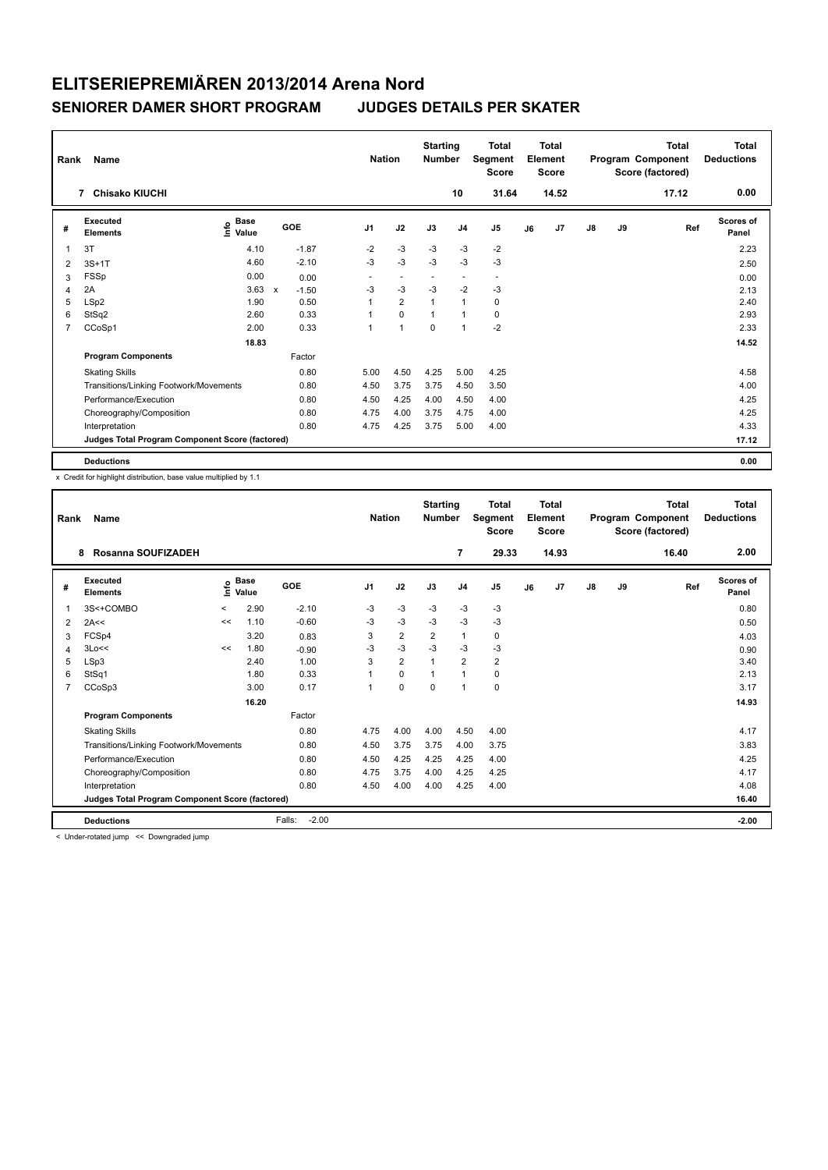| Rank           | Name                                            |                                    |                         | <b>Nation</b>            |                          | <b>Starting</b><br><b>Number</b> |                          | <b>Total</b><br>Segment<br><b>Score</b> |    | <b>Total</b><br>Element<br><b>Score</b> |               |    | <b>Total</b><br>Program Component<br>Score (factored) | <b>Total</b><br><b>Deductions</b> |
|----------------|-------------------------------------------------|------------------------------------|-------------------------|--------------------------|--------------------------|----------------------------------|--------------------------|-----------------------------------------|----|-----------------------------------------|---------------|----|-------------------------------------------------------|-----------------------------------|
|                | <b>Chisako KIUCHI</b><br>7                      |                                    |                         |                          |                          |                                  | 10                       | 31.64                                   |    | 14.52                                   |               |    | 17.12                                                 | 0.00                              |
| #              | Executed<br><b>Elements</b>                     | <b>Base</b><br>$\frac{6}{5}$ Value | GOE                     | J <sub>1</sub>           | J2                       | J3                               | J <sub>4</sub>           | J <sub>5</sub>                          | J6 | J7                                      | $\mathsf{J}8$ | J9 | Ref                                                   | <b>Scores of</b><br>Panel         |
| 1              | 3T                                              | 4.10                               | $-1.87$                 | $-2$                     | $-3$                     | $-3$                             | $-3$                     | $-2$                                    |    |                                         |               |    |                                                       | 2.23                              |
| $\overline{2}$ | $3S+1T$                                         | 4.60                               | $-2.10$                 | $-3$                     | $-3$                     | $-3$                             | $-3$                     | $-3$                                    |    |                                         |               |    |                                                       | 2.50                              |
| 3              | <b>FSSp</b>                                     | 0.00                               | 0.00                    | $\overline{\phantom{a}}$ | $\overline{\phantom{a}}$ | $\overline{\phantom{a}}$         | $\overline{\phantom{a}}$ | $\overline{\phantom{a}}$                |    |                                         |               |    |                                                       | 0.00                              |
| 4              | 2A                                              | 3.63                               | $\mathsf{x}$<br>$-1.50$ | $-3$                     | $-3$                     | $-3$                             | $-2$                     | -3                                      |    |                                         |               |    |                                                       | 2.13                              |
| 5              | LSp2                                            | 1.90                               | 0.50                    | 1                        | $\overline{2}$           | $\overline{1}$                   | $\overline{1}$           | 0                                       |    |                                         |               |    |                                                       | 2.40                              |
| 6              | StSq2                                           | 2.60                               | 0.33                    |                          | $\mathbf 0$              | $\overline{1}$                   | $\overline{1}$           | $\mathbf 0$                             |    |                                         |               |    |                                                       | 2.93                              |
| $\overline{7}$ | CCoSp1                                          | 2.00                               | 0.33                    | $\overline{1}$           | $\overline{1}$           | $\mathbf 0$                      | $\overline{1}$           | $-2$                                    |    |                                         |               |    |                                                       | 2.33                              |
|                |                                                 | 18.83                              |                         |                          |                          |                                  |                          |                                         |    |                                         |               |    |                                                       | 14.52                             |
|                | <b>Program Components</b>                       |                                    | Factor                  |                          |                          |                                  |                          |                                         |    |                                         |               |    |                                                       |                                   |
|                | <b>Skating Skills</b>                           |                                    | 0.80                    | 5.00                     | 4.50                     | 4.25                             | 5.00                     | 4.25                                    |    |                                         |               |    |                                                       | 4.58                              |
|                | Transitions/Linking Footwork/Movements          |                                    | 0.80                    | 4.50                     | 3.75                     | 3.75                             | 4.50                     | 3.50                                    |    |                                         |               |    |                                                       | 4.00                              |
|                | Performance/Execution                           |                                    | 0.80                    | 4.50                     | 4.25                     | 4.00                             | 4.50                     | 4.00                                    |    |                                         |               |    |                                                       | 4.25                              |
|                | Choreography/Composition                        |                                    | 0.80                    | 4.75                     | 4.00                     | 3.75                             | 4.75                     | 4.00                                    |    |                                         |               |    |                                                       | 4.25                              |
|                | Interpretation                                  |                                    | 0.80                    | 4.75                     | 4.25                     | 3.75                             | 5.00                     | 4.00                                    |    |                                         |               |    |                                                       | 4.33                              |
|                | Judges Total Program Component Score (factored) |                                    |                         |                          |                          |                                  |                          |                                         |    |                                         |               |    |                                                       | 17.12                             |
|                | <b>Deductions</b>                               |                                    |                         |                          |                          |                                  |                          |                                         |    |                                         |               |    |                                                       | 0.00                              |

x Credit for highlight distribution, base value multiplied by 1.1

| Rank           | Name                                            |         |                            |                   | <b>Nation</b>  |                | <b>Starting</b><br><b>Number</b> |                | <b>Total</b><br>Segment<br><b>Score</b> |    | Total<br>Element<br><b>Score</b> |               |    | Total<br>Program Component<br>Score (factored) | <b>Total</b><br><b>Deductions</b> |
|----------------|-------------------------------------------------|---------|----------------------------|-------------------|----------------|----------------|----------------------------------|----------------|-----------------------------------------|----|----------------------------------|---------------|----|------------------------------------------------|-----------------------------------|
|                | Rosanna SOUFIZADEH<br>8                         |         |                            |                   |                |                |                                  | $\overline{7}$ | 29.33                                   |    | 14.93                            |               |    | 16.40                                          | 2.00                              |
| #              | <b>Executed</b><br><b>Elements</b>              |         | $\sum_{k=1}^{\infty}$ Pase | GOE               | J <sub>1</sub> | J2             | J3                               | J <sub>4</sub> | J <sub>5</sub>                          | J6 | J <sub>7</sub>                   | $\mathsf{J}8$ | J9 | Ref                                            | <b>Scores of</b><br>Panel         |
| 1              | 3S<+COMBO                                       | $\prec$ | 2.90                       | $-2.10$           | $-3$           | $-3$           | $-3$                             | $-3$           | $-3$                                    |    |                                  |               |    |                                                | 0.80                              |
| 2              | 2A<<                                            | <<      | 1.10                       | $-0.60$           | -3             | $-3$           | $-3$                             | $-3$           | $-3$                                    |    |                                  |               |    |                                                | 0.50                              |
| 3              | FCSp4                                           |         | 3.20                       | 0.83              | 3              | $\overline{2}$ | $\overline{2}$                   | $\mathbf{1}$   | 0                                       |    |                                  |               |    |                                                | 4.03                              |
| 4              | 3Lo<<                                           | <<      | 1.80                       | $-0.90$           | $-3$           | $-3$           | $-3$                             | $-3$           | $-3$                                    |    |                                  |               |    |                                                | 0.90                              |
| 5              | LSp3                                            |         | 2.40                       | 1.00              | 3              | $\overline{2}$ | 1                                | $\overline{2}$ | $\overline{\mathbf{c}}$                 |    |                                  |               |    |                                                | 3.40                              |
| 6              | StSq1                                           |         | 1.80                       | 0.33              |                | $\mathbf 0$    |                                  | $\overline{1}$ | 0                                       |    |                                  |               |    |                                                | 2.13                              |
| $\overline{7}$ | CCoSp3                                          |         | 3.00                       | 0.17              | 1              | $\Omega$       | $\Omega$                         | $\mathbf{1}$   | 0                                       |    |                                  |               |    |                                                | 3.17                              |
|                |                                                 |         | 16.20                      |                   |                |                |                                  |                |                                         |    |                                  |               |    |                                                | 14.93                             |
|                | <b>Program Components</b>                       |         |                            | Factor            |                |                |                                  |                |                                         |    |                                  |               |    |                                                |                                   |
|                | <b>Skating Skills</b>                           |         |                            | 0.80              | 4.75           | 4.00           | 4.00                             | 4.50           | 4.00                                    |    |                                  |               |    |                                                | 4.17                              |
|                | Transitions/Linking Footwork/Movements          |         |                            | 0.80              | 4.50           | 3.75           | 3.75                             | 4.00           | 3.75                                    |    |                                  |               |    |                                                | 3.83                              |
|                | Performance/Execution                           |         |                            | 0.80              | 4.50           | 4.25           | 4.25                             | 4.25           | 4.00                                    |    |                                  |               |    |                                                | 4.25                              |
|                | Choreography/Composition                        |         |                            | 0.80              | 4.75           | 3.75           | 4.00                             | 4.25           | 4.25                                    |    |                                  |               |    |                                                | 4.17                              |
|                | Interpretation                                  |         |                            | 0.80              | 4.50           | 4.00           | 4.00                             | 4.25           | 4.00                                    |    |                                  |               |    |                                                | 4.08                              |
|                | Judges Total Program Component Score (factored) |         |                            |                   |                |                |                                  |                |                                         |    |                                  |               |    |                                                | 16.40                             |
|                | <b>Deductions</b>                               |         |                            | $-2.00$<br>Falls: |                |                |                                  |                |                                         |    |                                  |               |    |                                                | $-2.00$                           |

< Under-rotated jump << Downgraded jump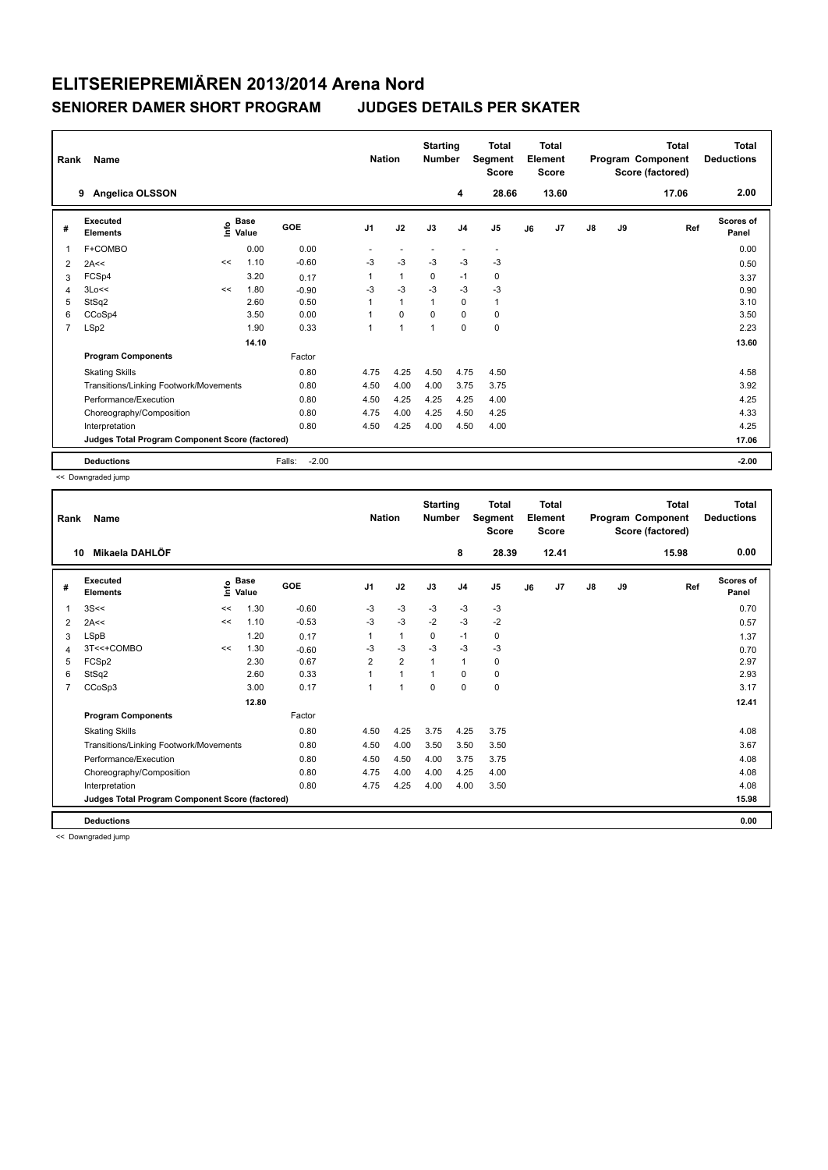| Rank           | <b>Name</b><br><b>Angelica OLSSON</b><br>9      |    |                                    |                   | <b>Nation</b>  |                | <b>Starting</b><br><b>Number</b> | 4              | <b>Total</b><br>Segment<br><b>Score</b><br>28.66 |    | <b>Total</b><br>Element<br><b>Score</b><br>13.60 |    |    | <b>Total</b><br>Program Component<br>Score (factored)<br>17.06 | <b>Total</b><br><b>Deductions</b><br>2.00 |
|----------------|-------------------------------------------------|----|------------------------------------|-------------------|----------------|----------------|----------------------------------|----------------|--------------------------------------------------|----|--------------------------------------------------|----|----|----------------------------------------------------------------|-------------------------------------------|
| #              | Executed<br><b>Elements</b>                     |    | <b>Base</b><br>$\frac{e}{E}$ Value | GOE               | J <sub>1</sub> | J2             | J3                               | J <sub>4</sub> | J <sub>5</sub>                                   | J6 | J7                                               | J8 | J9 | Ref                                                            | <b>Scores of</b><br>Panel                 |
| $\overline{1}$ | F+COMBO                                         |    | 0.00                               | 0.00              |                |                |                                  | ٠              | $\overline{\phantom{a}}$                         |    |                                                  |    |    |                                                                | 0.00                                      |
| 2              | 2A<<                                            | << | 1.10                               | $-0.60$           | -3             | $-3$           | $-3$                             | $-3$           | $-3$                                             |    |                                                  |    |    |                                                                | 0.50                                      |
| 3              | FCSp4                                           |    | 3.20                               | 0.17              | 1              | $\mathbf{1}$   | $\mathbf 0$                      | $-1$           | 0                                                |    |                                                  |    |    |                                                                | 3.37                                      |
| 4              | 3Lo<<                                           | << | 1.80                               | $-0.90$           | -3             | $-3$           | $-3$                             | $-3$           | $-3$                                             |    |                                                  |    |    |                                                                | 0.90                                      |
| 5              | StSq2                                           |    | 2.60                               | 0.50              | 1              | $\mathbf{1}$   |                                  | $\mathbf 0$    | $\mathbf{1}$                                     |    |                                                  |    |    |                                                                | 3.10                                      |
| 6              | CCoSp4                                          |    | 3.50                               | 0.00              | 1              | $\mathbf 0$    | $\mathbf 0$                      | $\mathbf 0$    | $\pmb{0}$                                        |    |                                                  |    |    |                                                                | 3.50                                      |
| $\overline{7}$ | LSp2                                            |    | 1.90                               | 0.33              | 1              | $\overline{1}$ | $\mathbf{1}$                     | $\mathbf 0$    | $\pmb{0}$                                        |    |                                                  |    |    |                                                                | 2.23                                      |
|                |                                                 |    | 14.10                              |                   |                |                |                                  |                |                                                  |    |                                                  |    |    |                                                                | 13.60                                     |
|                | <b>Program Components</b>                       |    |                                    | Factor            |                |                |                                  |                |                                                  |    |                                                  |    |    |                                                                |                                           |
|                | <b>Skating Skills</b>                           |    |                                    | 0.80              | 4.75           | 4.25           | 4.50                             | 4.75           | 4.50                                             |    |                                                  |    |    |                                                                | 4.58                                      |
|                | Transitions/Linking Footwork/Movements          |    |                                    | 0.80              | 4.50           | 4.00           | 4.00                             | 3.75           | 3.75                                             |    |                                                  |    |    |                                                                | 3.92                                      |
|                | Performance/Execution                           |    |                                    | 0.80              | 4.50           | 4.25           | 4.25                             | 4.25           | 4.00                                             |    |                                                  |    |    |                                                                | 4.25                                      |
|                | Choreography/Composition                        |    |                                    | 0.80              | 4.75           | 4.00           | 4.25                             | 4.50           | 4.25                                             |    |                                                  |    |    |                                                                | 4.33                                      |
|                | Interpretation                                  |    |                                    | 0.80              | 4.50           | 4.25           | 4.00                             | 4.50           | 4.00                                             |    |                                                  |    |    |                                                                | 4.25                                      |
|                | Judges Total Program Component Score (factored) |    |                                    |                   |                |                |                                  |                |                                                  |    |                                                  |    |    |                                                                | 17.06                                     |
|                | <b>Deductions</b>                               |    |                                    | $-2.00$<br>Falls: |                |                |                                  |                |                                                  |    |                                                  |    |    |                                                                | $-2.00$                                   |

<< Downgraded jump

| Rank           | Name                                            |      |                      |         | <b>Nation</b>  |                | <b>Starting</b><br><b>Number</b> |                | <b>Total</b><br>Segment<br><b>Score</b> |    | <b>Total</b><br>Element<br><b>Score</b> |               |    | <b>Total</b><br>Program Component<br>Score (factored) | <b>Total</b><br><b>Deductions</b> |
|----------------|-------------------------------------------------|------|----------------------|---------|----------------|----------------|----------------------------------|----------------|-----------------------------------------|----|-----------------------------------------|---------------|----|-------------------------------------------------------|-----------------------------------|
|                | Mikaela DAHLÖF<br>10                            |      |                      |         |                |                |                                  | 8              | 28.39                                   |    | 12.41                                   |               |    | 15.98                                                 | 0.00                              |
| #              | Executed<br><b>Elements</b>                     | lnfo | <b>Base</b><br>Value | GOE     | J <sub>1</sub> | J2             | J3                               | J <sub>4</sub> | J5                                      | J6 | J <sub>7</sub>                          | $\mathsf{J}8$ | J9 | Ref                                                   | <b>Scores of</b><br>Panel         |
| 1              | 3S<<                                            | <<   | 1.30                 | $-0.60$ | $-3$           | $-3$           | $-3$                             | $-3$           | $-3$                                    |    |                                         |               |    |                                                       | 0.70                              |
| $\overline{2}$ | 2A<<                                            | <<   | 1.10                 | $-0.53$ | $-3$           | $-3$           | $-2$                             | $-3$           | $-2$                                    |    |                                         |               |    |                                                       | 0.57                              |
| 3              | LSpB                                            |      | 1.20                 | 0.17    | 1              | $\mathbf{1}$   | 0                                | $-1$           | 0                                       |    |                                         |               |    |                                                       | 1.37                              |
| 4              | 3T<<+COMBO                                      | <<   | 1.30                 | $-0.60$ | $-3$           | $-3$           | $-3$                             | $-3$           | $-3$                                    |    |                                         |               |    |                                                       | 0.70                              |
| 5              | FCSp2                                           |      | 2.30                 | 0.67    | $\overline{2}$ | $\overline{2}$ | $\mathbf{1}$                     | $\mathbf{1}$   | 0                                       |    |                                         |               |    |                                                       | 2.97                              |
| 6              | StSq2                                           |      | 2.60                 | 0.33    | 1              | $\mathbf{1}$   | 1                                | $\Omega$       | 0                                       |    |                                         |               |    |                                                       | 2.93                              |
| 7              | CCoSp3                                          |      | 3.00                 | 0.17    | 1              | 1              | $\Omega$                         | $\Omega$       | 0                                       |    |                                         |               |    |                                                       | 3.17                              |
|                |                                                 |      | 12.80                |         |                |                |                                  |                |                                         |    |                                         |               |    |                                                       | 12.41                             |
|                | <b>Program Components</b>                       |      |                      | Factor  |                |                |                                  |                |                                         |    |                                         |               |    |                                                       |                                   |
|                | <b>Skating Skills</b>                           |      |                      | 0.80    | 4.50           | 4.25           | 3.75                             | 4.25           | 3.75                                    |    |                                         |               |    |                                                       | 4.08                              |
|                | Transitions/Linking Footwork/Movements          |      |                      | 0.80    | 4.50           | 4.00           | 3.50                             | 3.50           | 3.50                                    |    |                                         |               |    |                                                       | 3.67                              |
|                | Performance/Execution                           |      |                      | 0.80    | 4.50           | 4.50           | 4.00                             | 3.75           | 3.75                                    |    |                                         |               |    |                                                       | 4.08                              |
|                | Choreography/Composition                        |      |                      | 0.80    | 4.75           | 4.00           | 4.00                             | 4.25           | 4.00                                    |    |                                         |               |    |                                                       | 4.08                              |
|                | Interpretation                                  |      |                      | 0.80    | 4.75           | 4.25           | 4.00                             | 4.00           | 3.50                                    |    |                                         |               |    |                                                       | 4.08                              |
|                | Judges Total Program Component Score (factored) |      |                      |         |                |                |                                  |                |                                         |    |                                         |               |    |                                                       | 15.98                             |
|                | <b>Deductions</b>                               |      |                      |         |                |                |                                  |                |                                         |    |                                         |               |    |                                                       | 0.00                              |

<< Downgraded jump